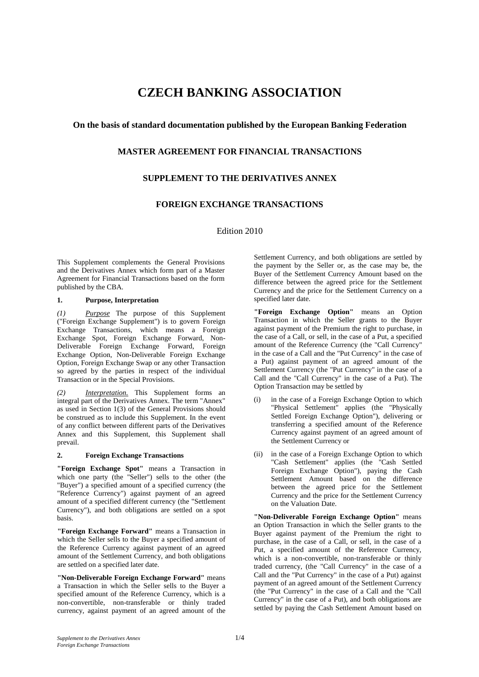# **CZECH BANKING ASSOCIATION**

# **On the basis of standard documentation published by the European Banking Federation**

# **MASTER AGREEMENT FOR FINANCIAL TRANSACTIONS**

# **SUPPLEMENT TO THE DERIVATIVES ANNEX**

# **FOREIGN EXCHANGE TRANSACTIONS**

Edition 2010

This Supplement complements the General Provisions and the Derivatives Annex which form part of a Master Agreement for Financial Transactions based on the form published by the CBA.

## **1. Purpose, Interpretation**

*(1) Purpose* The purpose of this Supplement ("Foreign Exchange Supplement") is to govern Foreign Exchange Transactions, which means a Foreign Exchange Spot, Foreign Exchange Forward, Non-Deliverable Foreign Exchange Forward, Foreign Exchange Option, Non-Deliverable Foreign Exchange Option, Foreign Exchange Swap or any other Transaction so agreed by the parties in respect of the individual Transaction or in the Special Provisions.

*(2) Interpretation.* This Supplement forms an integral part of the Derivatives Annex. The term "Annex" as used in Section 1(3) of the General Provisions should be construed as to include this Supplement. In the event of any conflict between different parts of the Derivatives Annex and this Supplement, this Supplement shall prevail.

## **2. Foreign Exchange Transactions**

**"Foreign Exchange Spot"** means a Transaction in which one party (the "Seller") sells to the other (the "Buyer") a specified amount of a specified currency (the "Reference Currency") against payment of an agreed amount of a specified different currency (the "Settlement Currency"), and both obligations are settled on a spot basis.

**"Foreign Exchange Forward"** means a Transaction in which the Seller sells to the Buyer a specified amount of the Reference Currency against payment of an agreed amount of the Settlement Currency, and both obligations are settled on a specified later date.

**"Non-Deliverable Foreign Exchange Forward"** means a Transaction in which the Seller sells to the Buyer a specified amount of the Reference Currency, which is a non-convertible, non-transferable or thinly traded currency, against payment of an agreed amount of the Settlement Currency, and both obligations are settled by the payment by the Seller or, as the case may be, the Buyer of the Settlement Currency Amount based on the difference between the agreed price for the Settlement Currency and the price for the Settlement Currency on a specified later date.

**"Foreign Exchange Option"** means an Option Transaction in which the Seller grants to the Buyer against payment of the Premium the right to purchase, in the case of a Call, or sell, in the case of a Put, a specified amount of the Reference Currency (the "Call Currency" in the case of a Call and the "Put Currency" in the case of a Put) against payment of an agreed amount of the Settlement Currency (the "Put Currency" in the case of a Call and the "Call Currency" in the case of a Put). The Option Transaction may be settled by

- (i) in the case of a Foreign Exchange Option to which "Physical Settlement" applies (the "Physically Settled Foreign Exchange Option"), delivering or transferring a specified amount of the Reference Currency against payment of an agreed amount of the Settlement Currency or
- (ii) in the case of a Foreign Exchange Option to which "Cash Settlement" applies (the "Cash Settled Foreign Exchange Option"), paying the Cash Settlement Amount based on the difference between the agreed price for the Settlement Currency and the price for the Settlement Currency on the Valuation Date.

**"Non-Deliverable Foreign Exchange Option"** means an Option Transaction in which the Seller grants to the Buyer against payment of the Premium the right to purchase, in the case of a Call, or sell, in the case of a Put, a specified amount of the Reference Currency, which is a non-convertible, non-transferable or thinly traded currency, (the "Call Currency" in the case of a Call and the "Put Currency" in the case of a Put) against payment of an agreed amount of the Settlement Currency (the "Put Currency" in the case of a Call and the "Call Currency" in the case of a Put), and both obligations are settled by paying the Cash Settlement Amount based on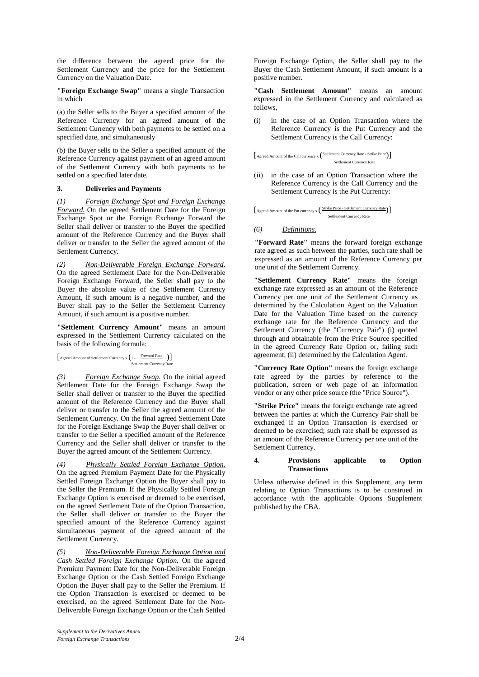the difference between the agreed price for the Settlement Currency and the price for the Settlement Currency on the Valuation Date.

**"Foreign Exchange Swap"** means a single Transaction in which

(a) the Seller sells to the Buyer a specified amount of the Reference Currency for an agreed amount of the Settlement Currency with both payments to be settled on a specified date, and simultaneously

(b) the Buyer sells to the Seller a specified amount of the Reference Currency against payment of an agreed amount of the Settlement Currency with both payments to be settled on a specified later date.

## **3. Deliveries and Payments**

*(1) Foreign Exchange Spot and Foreign Exchange Forward.* On the agreed Settlement Date for the Foreign Exchange Spot or the Foreign Exchange Forward the Seller shall deliver or transfer to the Buyer the specified amount of the Reference Currency and the Buyer shall deliver or transfer to the Seller the agreed amount of the Settlement Currency.

*(2) Non-Deliverable Foreign Exchange Forward.*  On the agreed Settlement Date for the Non-Deliverable Foreign Exchange Forward, the Seller shall pay to the Buyer the absolute value of the Settlement Currency Amount, if such amount is a negative number, and the Buyer shall pay to the Seller the Settlement Currency Amount, if such amount is a positive number.

**"Settlement Currency Amount"** means an amount expressed in the Settlement Currency calculated on the basis of the following formula:

 $\begin{bmatrix} \text{Agreed Amount of Setlement Currentx} \\ \text{Settlement Current Current Current} \end{bmatrix}$ 

*(3) Foreign Exchange Swap.* On the initial agreed Settlement Date for the Foreign Exchange Swap the Seller shall deliver or transfer to the Buyer the specified amount of the Reference Currency and the Buyer shall deliver or transfer to the Seller the agreed amount of the Settlement Currency. On the final agreed Settlement Date for the Foreign Exchange Swap the Buyer shall deliver or transfer to the Seller a specified amount of the Reference Currency and the Seller shall deliver or transfer to the Buyer the agreed amount of the Settlement Currency.

*(4) Physically Settled Foreign Exchange Option.*  On the agreed Premium Payment Date for the Physically Settled Foreign Exchange Option the Buyer shall pay to the Seller the Premium. If the Physically Settled Foreign Exchange Option is exercised or deemed to be exercised, on the agreed Settlement Date of the Option Transaction, the Seller shall deliver or transfer to the Buyer the specified amount of the Reference Currency against simultaneous payment of the agreed amount of the Settlement Currency.

*(5) Non-Deliverable Foreign Exchange Option and Cash Settled Foreign Exchange Option.* On the agreed Premium Payment Date for the Non-Deliverable Foreign Exchange Option or the Cash Settled Foreign Exchange Option the Buyer shall pay to the Seller the Premium. If the Option Transaction is exercised or deemed to be exercised, on the agreed Settlement Date for the Non-Deliverable Foreign Exchange Option or the Cash Settled

Foreign Exchange Option, the Seller shall pay to the Buyer the Cash Settlement Amount, if such amount is a positive number.

**"Cash Settlement Amount"** means an amount expressed in the Settlement Currency and calculated as follows,

(i) in the case of an Option Transaction where the Reference Currency is the Put Currency and the Settlement Currency is the Call Currency:

$$
\begin{bmatrix} \text{Agreed Amount of the Call currency x} \left( \frac{\text{Settlement Currente} - \text{Strike Price}}{\text{Settlement Current Curreney Rate}} \right) \end{bmatrix}
$$

(ii) in the case of an Option Transaction where the Reference Currency is the Call Currency and the Settlement Currency is the Put Currency:

$$
\left[\text{Agreed Amount of the Put currency x} \left(\frac{\text{Strike Price - Settlement CurrentQ}}{\text{Settlement CurrentQ}} \right) \right]
$$

## *(6) Definitions.*

**"Forward Rate"** means the forward foreign exchange rate agreed as such between the parties, such rate shall be expressed as an amount of the Reference Currency per one unit of the Settlement Currency.

**"Settlement Currency Rate"** means the foreign exchange rate expressed as an amount of the Reference Currency per one unit of the Settlement Currency as determined by the Calculation Agent on the Valuation Date for the Valuation Time based on the currency exchange rate for the Reference Currency and the Settlement Currency (the "Currency Pair") (i) quoted through and obtainable from the Price Source specified in the agreed Currency Rate Option or, failing such agreement, (ii) determined by the Calculation Agent.

**"Currency Rate Option"** means the foreign exchange rate agreed by the parties by reference to the publication, screen or web page of an information vendor or any other price source (the "Price Source").

**"Strike Price"** means the foreign exchange rate agreed between the parties at which the Currency Pair shall be exchanged if an Option Transaction is exercised or deemed to be exercised; such rate shall be expressed as an amount of the Reference Currency per one unit of the Settlement Currency.

#### **4. Provisions applicable to Option Transactions**

Unless otherwise defined in this Supplement, any term relating to Option Transactions is to be construed in accordance with the applicable Options Supplement published by the CBA.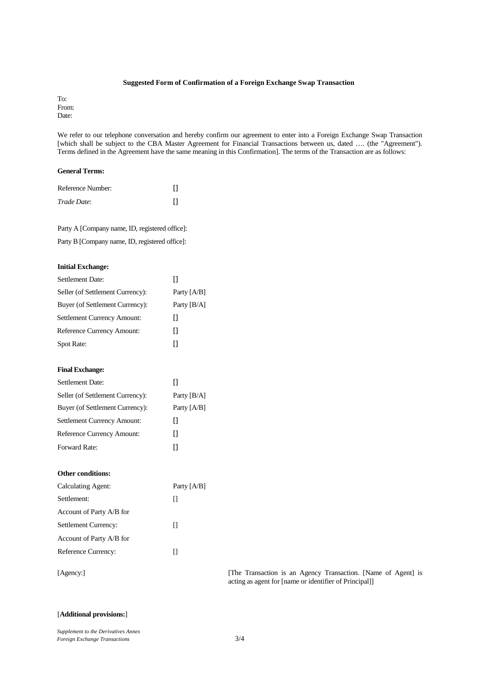#### **Suggested Form of Confirmation of a Foreign Exchange Swap Transaction**

To: From: Date:

We refer to our telephone conversation and hereby confirm our agreement to enter into a Foreign Exchange Swap Transaction [which shall be subject to the CBA Master Agreement for Financial Transactions between us, dated .... (the "Agreement"). Terms defined in the Agreement have the same meaning in this Confirmation]. The terms of the Transaction are as follows:

## **General Terms:**

| Reference Number: |  |
|-------------------|--|
| Trade Date:       |  |

Party A [Company name, ID, registered office]: Party B [Company name, ID, registered office]:

#### **Initial Exchange:**

| <b>Settlement Date:</b>          | П             |
|----------------------------------|---------------|
| Seller (of Settlement Currency): | Party $[A/B]$ |
| Buyer (of Settlement Currency):  | Party $[B/A]$ |
| Settlement Currency Amount:      | П             |
| Reference Currency Amount:       | П             |
| Spot Rate:                       | Ū             |
|                                  |               |
| <b>Final Exchange:</b>           |               |
| <b>Settlement Date:</b>          | П             |
| Seller (of Settlement Currency): | Party $[B/A]$ |
| Buyer (of Settlement Currency):  | Party [A/B]   |
| Settlement Currency Amount:      | П             |
| Reference Currency Amount:       | П             |
| Forward Rate:                    | П             |
|                                  |               |
|                                  |               |
| Other conditions:                |               |
| Calculating Agent:               | Party [A/B]   |
| Settlement:                      | П             |
| Account of Party A/B for         |               |

[Agency:] [The Transaction is an Agency Transaction. [Name of Agent] is acting as agent for [name or identifier of Principal]]

## [**Additional provisions:**]

Account of Party A/B for

Reference Currency: